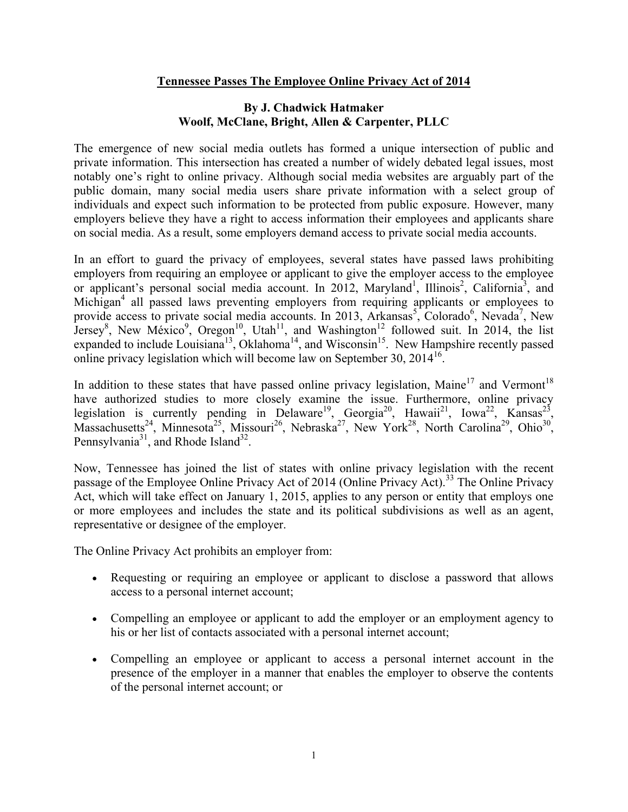## **[Tennessee Passes The Employee Online Privacy Act of](http://tnemploymentlawblog.com/2014/05/23/tennessee-passes-the-employee-online-privacy-act-of-2014/) 2014**

## **By J. Chadwick Hatmaker Woolf, McClane, Bright, Allen & Carpenter, PLLC**

The emergence of new social media outlets has formed a unique intersection of public and private information. This intersection has created a number of widely debated legal issues, most notably one's right to online privacy. Although social media websites are arguably part of the public domain, many social media users share private information with a select group of individuals and expect such information to be protected from public exposure. However, many employers believe they have a right to access information their employees and applicants share on social media. As a result, some employers demand access to private social media accounts.

In an effort to guard the privacy of employees, several states have passed laws prohibiting employers from requiring an employee or applicant to give the employer access to the employee or applicant's personal social media account. In 2012, Maryland<sup>1</sup>, Illinois<sup>2</sup>, California<sup>3</sup>, and Michigan<sup>4</sup> all passed laws preventing employers from requiring applicants or employees to provide access to private social media accounts. In 2013, Arkansas<sup>5</sup>, Colorado<sup>6</sup>, Nevada<sup>7</sup>, New Jersey<sup>8</sup>, New México<sup>9</sup>, Oregon<sup>10</sup>, Utah<sup>11</sup>, and Washington<sup>12</sup> followed suit. In 2014, the list expanded to include Louisiana<sup>13</sup>, Oklahoma<sup>14</sup>, and Wisconsin<sup>15</sup>. New Hampshire recently passed online privacy legislation which will become law on September 30,  $2014^{16}$ .

In addition to these states that have passed online privacy legislation, Maine<sup>17</sup> and Vermont<sup>18</sup> have authorized studies to more closely examine the issue. Furthermore, online privacy legislation is currently pending in Delaware<sup>19</sup>, Georgia<sup>20</sup>, Hawaii<sup>21</sup>, Iowa<sup>22</sup>, Kansas<sup>23</sup>, Massachusetts<sup>24</sup>, Minnesota<sup>25</sup>, Missouri<sup>26</sup>, Nebraska<sup>27</sup>, New York<sup>28</sup>, North Carolina<sup>29</sup>, Ohio<sup>30</sup>, Pennsylvania<sup>31</sup>, and Rhode Island<sup>32</sup>.

Now, Tennessee has joined the list of states with online privacy legislation with the recent passage of the Employee Online Privacy Act of 2014 (Online Privacy Act).<sup>33</sup> The Online Privacy Act, which will take effect on January 1, 2015, applies to any person or entity that employs one or more employees and includes the state and its political subdivisions as well as an agent, representative or designee of the employer.

The Online Privacy Act prohibits an employer from:

- Requesting or requiring an employee or applicant to disclose a password that allows access to a personal internet account;
- Compelling an employee or applicant to add the employer or an employment agency to his or her list of contacts associated with a personal internet account;
- Compelling an employee or applicant to access a personal internet account in the presence of the employer in a manner that enables the employer to observe the contents of the personal internet account; or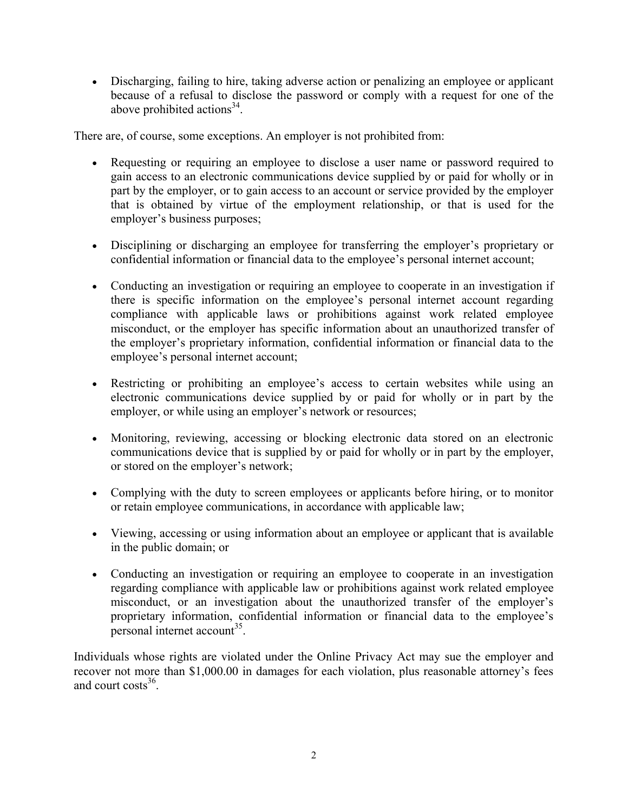Discharging, failing to hire, taking adverse action or penalizing an employee or applicant because of a refusal to disclose the password or comply with a request for one of the above prohibited actions $3^3$ .

There are, of course, some exceptions. An employer is not prohibited from:

- Requesting or requiring an employee to disclose a user name or password required to gain access to an electronic communications device supplied by or paid for wholly or in part by the employer, or to gain access to an account or service provided by the employer that is obtained by virtue of the employment relationship, or that is used for the employer's business purposes;
- Disciplining or discharging an employee for transferring the employer's proprietary or confidential information or financial data to the employee's personal internet account;
- Conducting an investigation or requiring an employee to cooperate in an investigation if there is specific information on the employee's personal internet account regarding compliance with applicable laws or prohibitions against work related employee misconduct, or the employer has specific information about an unauthorized transfer of the employer's proprietary information, confidential information or financial data to the employee's personal internet account;
- Restricting or prohibiting an employee's access to certain websites while using an electronic communications device supplied by or paid for wholly or in part by the employer, or while using an employer's network or resources;
- Monitoring, reviewing, accessing or blocking electronic data stored on an electronic communications device that is supplied by or paid for wholly or in part by the employer, or stored on the employer's network;
- Complying with the duty to screen employees or applicants before hiring, or to monitor or retain employee communications, in accordance with applicable law;
- Viewing, accessing or using information about an employee or applicant that is available in the public domain; or
- Conducting an investigation or requiring an employee to cooperate in an investigation regarding compliance with applicable law or prohibitions against work related employee misconduct, or an investigation about the unauthorized transfer of the employer's proprietary information, confidential information or financial data to the employee's  $\mu$  personal internet account<sup>35</sup>.

Individuals whose rights are violated under the Online Privacy Act may sue the employer and recover not more than \$1,000.00 in damages for each violation, plus reasonable attorney's fees and court  $costs<sup>36</sup>$ .